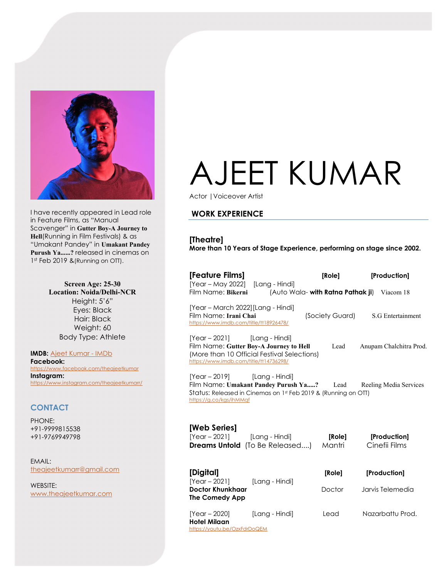

I have recently appeared in Lead role in Feature Films, as "Manual Scavenger" in Gutter Boy-A Journey to Hell(Running in Film Festivals) & as "Umakant Pandey" in Umakant Pandey Purush Ya......? released in cinemas on 1<sup>st</sup> Feb 2019 & (Running on OTT).

> Screen Age: 25-30 Location: Noida/Delhi-NCR Height: 5'6" Eyes: Black Hair: Black Weight: 60 Body Type: Athlete

IMDB: Ajeet Kumar - IMDb Facebook: https://www.facebook.com/theajeetkumar Instagram: https://www.instagram.com/theajeetkumarr/

## **CONTACT**

PHONE: +91-9999815538 +91-9769949798

EMAIL: theajeetkumarr@gmail.com

WEBSITE: www.theajeetkumar.com

# AJEET KUMAR

Actor |Voiceover Artist

## WORK EXPERIENCE

[Theatre] More than 10 Years of Stage Experience, performing on stage since 2002.

| [Feature Films]                                                                                                                                                      | [Role]                                                                                                      | [Production]                  |
|----------------------------------------------------------------------------------------------------------------------------------------------------------------------|-------------------------------------------------------------------------------------------------------------|-------------------------------|
| [Year - May 2022] [Lang - Hindi]<br>Film Name: Bikerni                                                                                                               | (Auto Wala- with Ratna Pathak ji) Viacom 18                                                                 |                               |
| [Year - March 2022] [Lang - Hindi]<br>Film Name: Irani Chai<br>https://www.imdb.com/title/tt18926478/                                                                | (Society Guard)                                                                                             | S.G Entertainment             |
| $[Year - 2021]$ $[Lang - Hindi]$<br>Film Name: Gutter Boy-A Journey to Hell<br>(More than 10 Official Festival Selections)<br>https://www.imdb.com/title/tt14736298/ | Lead                                                                                                        | Anupam Chalchitra Prod.       |
| [Year – 2019] [Lang - Hindi]<br>https://g.co/kgs/ihMMqf                                                                                                              | Film Name: Umakant Pandey Purush Ya? Lead<br>Status: Released in Cinemas on 1st Feb 2019 & (Running on OTT) | Reeling Media Services        |
| [Web Series]<br>[Year-2021] [Lang-Hindi]<br><b>Dreams Untold</b> (To Be Released)                                                                                    | [Role]<br>Mantri                                                                                            | [Production]<br>Cinefii Films |
| [Digital]                                                                                                                                                            | [Role]                                                                                                      | [Production]                  |
| $[Year - 2021]$<br>Doctor Khunkhaar<br><b>The Comedy App</b>                                                                                                         | [Lang - Hindi]<br>Doctor                                                                                    | Jarvis Telemedia              |

[Year – 2020] [Lang - Hindi] Lead Nazarbattu Prod. Hotel Milaan https://youtu.be/OzxFdrDoQEM